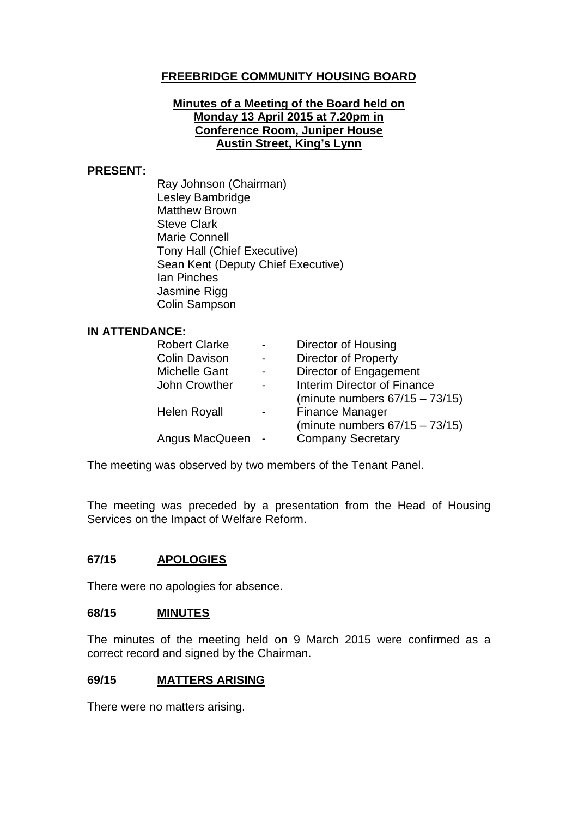### **FREEBRIDGE COMMUNITY HOUSING BOARD**

### **Minutes of a Meeting of the Board held on Monday 13 April 2015 at 7.20pm in Conference Room, Juniper House Austin Street, King's Lynn**

#### **PRESENT:**

Ray Johnson (Chairman) Lesley Bambridge Matthew Brown Steve Clark Marie Connell Tony Hall (Chief Executive) Sean Kent (Deputy Chief Executive) Ian Pinches Jasmine Rigg Colin Sampson

#### **IN ATTENDANCE:**

| <b>Robert Clarke</b> | Director of Housing                |
|----------------------|------------------------------------|
| <b>Colin Davison</b> | <b>Director of Property</b>        |
| <b>Michelle Gant</b> | Director of Engagement             |
| John Crowther        | <b>Interim Director of Finance</b> |
|                      | (minute numbers $67/15 - 73/15$ )  |
| <b>Helen Royall</b>  | <b>Finance Manager</b>             |
|                      | (minute numbers $67/15 - 73/15$ )  |
| Angus MacQueen       | <b>Company Secretary</b>           |
|                      |                                    |

The meeting was observed by two members of the Tenant Panel.

The meeting was preceded by a presentation from the Head of Housing Services on the Impact of Welfare Reform.

### **67/15 APOLOGIES**

There were no apologies for absence.

### **68/15 MINUTES**

The minutes of the meeting held on 9 March 2015 were confirmed as a correct record and signed by the Chairman.

#### **69/15 MATTERS ARISING**

There were no matters arising.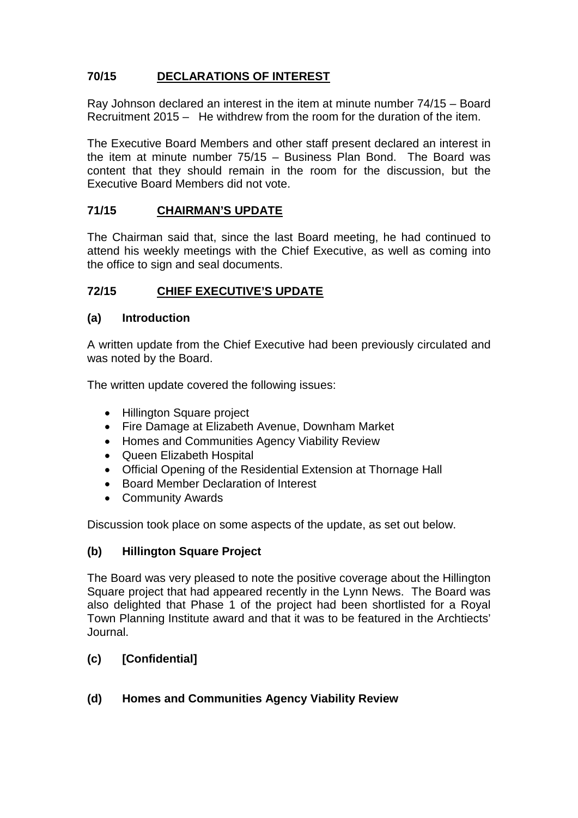# **70/15 DECLARATIONS OF INTEREST**

Ray Johnson declared an interest in the item at minute number 74/15 – Board Recruitment 2015 – He withdrew from the room for the duration of the item.

The Executive Board Members and other staff present declared an interest in the item at minute number 75/15 – Business Plan Bond. The Board was content that they should remain in the room for the discussion, but the Executive Board Members did not vote.

### **71/15 CHAIRMAN'S UPDATE**

The Chairman said that, since the last Board meeting, he had continued to attend his weekly meetings with the Chief Executive, as well as coming into the office to sign and seal documents.

### **72/15 CHIEF EXECUTIVE'S UPDATE**

#### **(a) Introduction**

A written update from the Chief Executive had been previously circulated and was noted by the Board.

The written update covered the following issues:

- Hillington Square project
- Fire Damage at Elizabeth Avenue, Downham Market
- Homes and Communities Agency Viability Review
- Queen Elizabeth Hospital
- Official Opening of the Residential Extension at Thornage Hall
- Board Member Declaration of Interest
- Community Awards

Discussion took place on some aspects of the update, as set out below.

### **(b) Hillington Square Project**

The Board was very pleased to note the positive coverage about the Hillington Square project that had appeared recently in the Lynn News. The Board was also delighted that Phase 1 of the project had been shortlisted for a Royal Town Planning Institute award and that it was to be featured in the Archtiects' Journal.

## **(c) [Confidential]**

### **(d) Homes and Communities Agency Viability Review**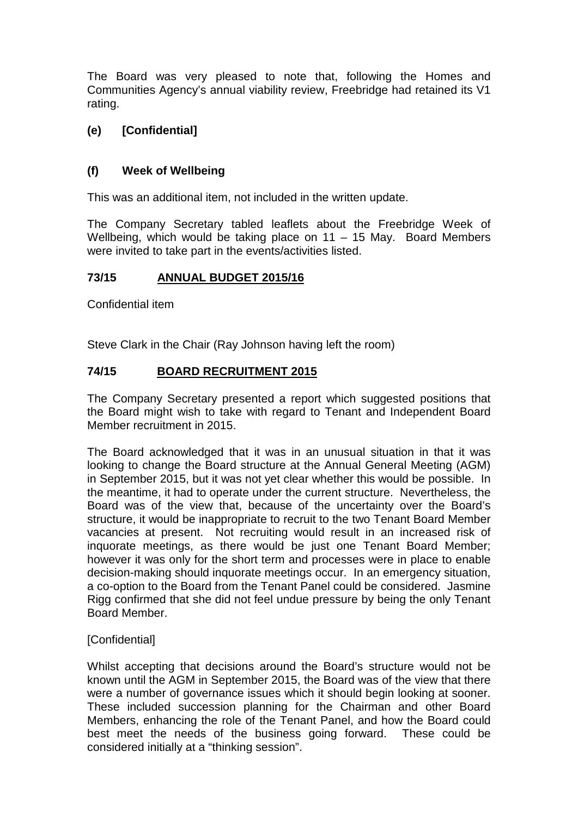The Board was very pleased to note that, following the Homes and Communities Agency's annual viability review, Freebridge had retained its V1 rating.

# **(e) [Confidential]**

## **(f) Week of Wellbeing**

This was an additional item, not included in the written update.

The Company Secretary tabled leaflets about the Freebridge Week of Wellbeing, which would be taking place on 11 – 15 May. Board Members were invited to take part in the events/activities listed.

## **73/15 ANNUAL BUDGET 2015/16**

Confidential item

Steve Clark in the Chair (Ray Johnson having left the room)

# **74/15 BOARD RECRUITMENT 2015**

The Company Secretary presented a report which suggested positions that the Board might wish to take with regard to Tenant and Independent Board Member recruitment in 2015.

The Board acknowledged that it was in an unusual situation in that it was looking to change the Board structure at the Annual General Meeting (AGM) in September 2015, but it was not yet clear whether this would be possible. In the meantime, it had to operate under the current structure. Nevertheless, the Board was of the view that, because of the uncertainty over the Board's structure, it would be inappropriate to recruit to the two Tenant Board Member vacancies at present. Not recruiting would result in an increased risk of inquorate meetings, as there would be just one Tenant Board Member; however it was only for the short term and processes were in place to enable decision-making should inquorate meetings occur. In an emergency situation, a co-option to the Board from the Tenant Panel could be considered. Jasmine Rigg confirmed that she did not feel undue pressure by being the only Tenant Board Member.

## [Confidential]

Whilst accepting that decisions around the Board's structure would not be known until the AGM in September 2015, the Board was of the view that there were a number of governance issues which it should begin looking at sooner. These included succession planning for the Chairman and other Board Members, enhancing the role of the Tenant Panel, and how the Board could best meet the needs of the business going forward. These could be considered initially at a "thinking session".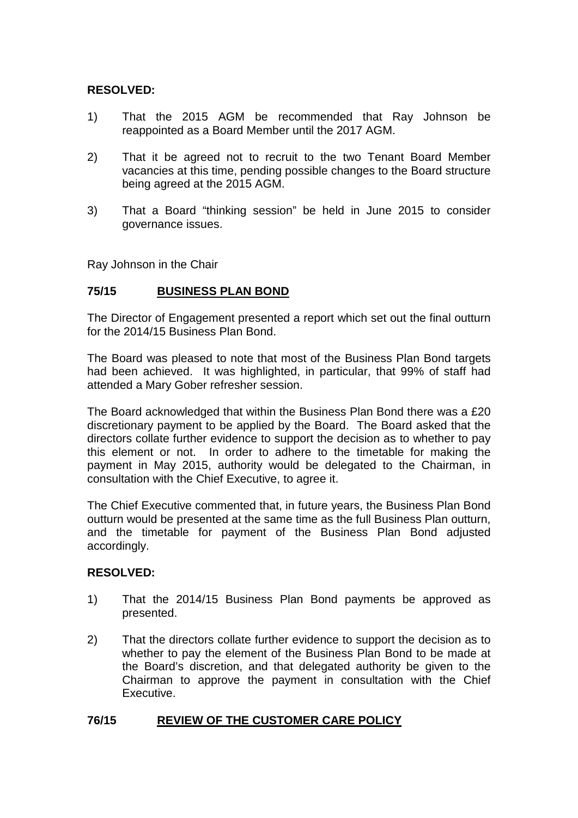### **RESOLVED:**

- 1) That the 2015 AGM be recommended that Ray Johnson be reappointed as a Board Member until the 2017 AGM.
- 2) That it be agreed not to recruit to the two Tenant Board Member vacancies at this time, pending possible changes to the Board structure being agreed at the 2015 AGM.
- 3) That a Board "thinking session" be held in June 2015 to consider governance issues.

Ray Johnson in the Chair

#### **75/15 BUSINESS PLAN BOND**

The Director of Engagement presented a report which set out the final outturn for the 2014/15 Business Plan Bond.

The Board was pleased to note that most of the Business Plan Bond targets had been achieved. It was highlighted, in particular, that 99% of staff had attended a Mary Gober refresher session.

The Board acknowledged that within the Business Plan Bond there was a £20 discretionary payment to be applied by the Board. The Board asked that the directors collate further evidence to support the decision as to whether to pay this element or not. In order to adhere to the timetable for making the payment in May 2015, authority would be delegated to the Chairman, in consultation with the Chief Executive, to agree it.

The Chief Executive commented that, in future years, the Business Plan Bond outturn would be presented at the same time as the full Business Plan outturn, and the timetable for payment of the Business Plan Bond adjusted accordingly.

### **RESOLVED:**

- 1) That the 2014/15 Business Plan Bond payments be approved as presented.
- 2) That the directors collate further evidence to support the decision as to whether to pay the element of the Business Plan Bond to be made at the Board's discretion, and that delegated authority be given to the Chairman to approve the payment in consultation with the Chief Executive.

### **76/15 REVIEW OF THE CUSTOMER CARE POLICY**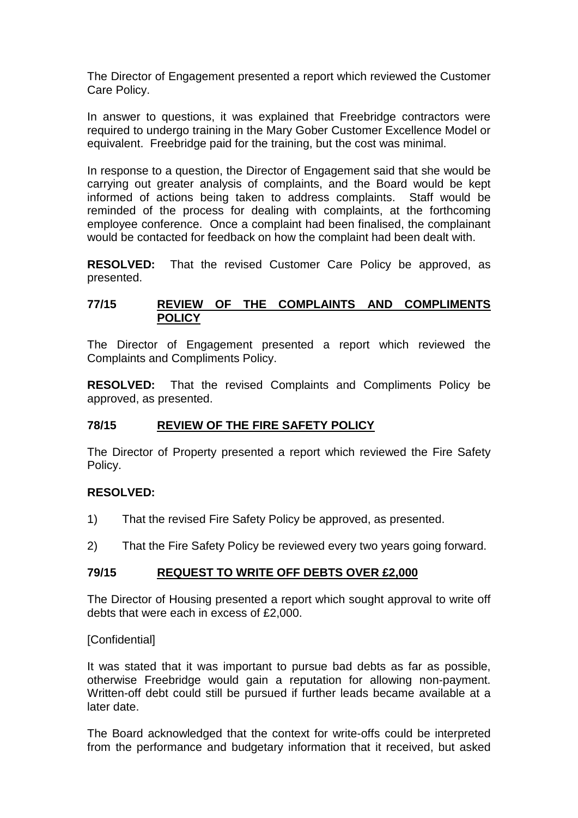The Director of Engagement presented a report which reviewed the Customer Care Policy.

In answer to questions, it was explained that Freebridge contractors were required to undergo training in the Mary Gober Customer Excellence Model or equivalent. Freebridge paid for the training, but the cost was minimal.

In response to a question, the Director of Engagement said that she would be carrying out greater analysis of complaints, and the Board would be kept informed of actions being taken to address complaints. Staff would be reminded of the process for dealing with complaints, at the forthcoming employee conference. Once a complaint had been finalised, the complainant would be contacted for feedback on how the complaint had been dealt with.

**RESOLVED:** That the revised Customer Care Policy be approved, as presented.

#### **77/15 REVIEW OF THE COMPLAINTS AND COMPLIMENTS POLICY**

The Director of Engagement presented a report which reviewed the Complaints and Compliments Policy.

**RESOLVED:** That the revised Complaints and Compliments Policy be approved, as presented.

## **78/15 REVIEW OF THE FIRE SAFETY POLICY**

The Director of Property presented a report which reviewed the Fire Safety Policy.

### **RESOLVED:**

- 1) That the revised Fire Safety Policy be approved, as presented.
- 2) That the Fire Safety Policy be reviewed every two years going forward.

### **79/15 REQUEST TO WRITE OFF DEBTS OVER £2,000**

The Director of Housing presented a report which sought approval to write off debts that were each in excess of £2,000.

### [Confidential]

It was stated that it was important to pursue bad debts as far as possible, otherwise Freebridge would gain a reputation for allowing non-payment. Written-off debt could still be pursued if further leads became available at a later date.

The Board acknowledged that the context for write-offs could be interpreted from the performance and budgetary information that it received, but asked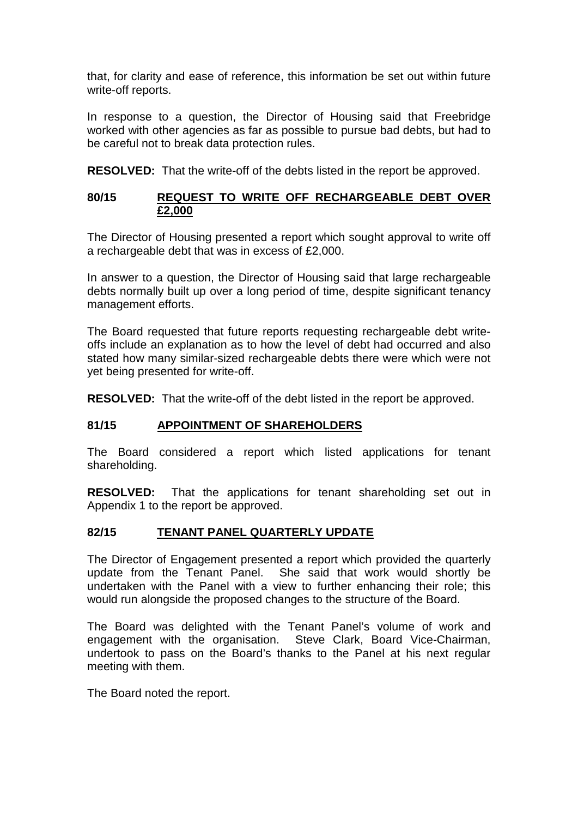that, for clarity and ease of reference, this information be set out within future write-off reports.

In response to a question, the Director of Housing said that Freebridge worked with other agencies as far as possible to pursue bad debts, but had to be careful not to break data protection rules.

**RESOLVED:** That the write-off of the debts listed in the report be approved.

### **80/15 REQUEST TO WRITE OFF RECHARGEABLE DEBT OVER £2,000**

The Director of Housing presented a report which sought approval to write off a rechargeable debt that was in excess of £2,000.

In answer to a question, the Director of Housing said that large rechargeable debts normally built up over a long period of time, despite significant tenancy management efforts.

The Board requested that future reports requesting rechargeable debt writeoffs include an explanation as to how the level of debt had occurred and also stated how many similar-sized rechargeable debts there were which were not yet being presented for write-off.

**RESOLVED:** That the write-off of the debt listed in the report be approved.

### **81/15 APPOINTMENT OF SHAREHOLDERS**

The Board considered a report which listed applications for tenant shareholding.

**RESOLVED:** That the applications for tenant shareholding set out in Appendix 1 to the report be approved.

### **82/15 TENANT PANEL QUARTERLY UPDATE**

The Director of Engagement presented a report which provided the quarterly update from the Tenant Panel. She said that work would shortly be undertaken with the Panel with a view to further enhancing their role; this would run alongside the proposed changes to the structure of the Board.

The Board was delighted with the Tenant Panel's volume of work and engagement with the organisation. Steve Clark, Board Vice-Chairman, undertook to pass on the Board's thanks to the Panel at his next regular meeting with them.

The Board noted the report.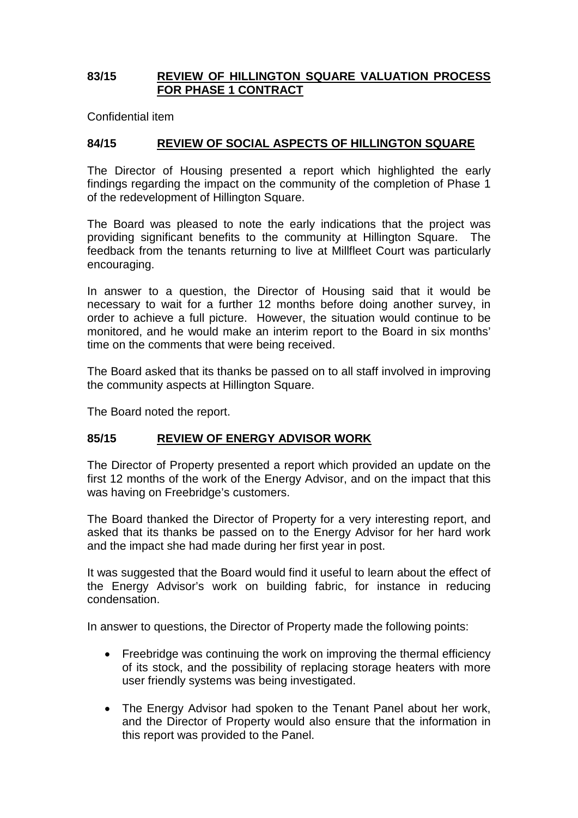### **83/15 REVIEW OF HILLINGTON SQUARE VALUATION PROCESS FOR PHASE 1 CONTRACT**

Confidential item

### **84/15 REVIEW OF SOCIAL ASPECTS OF HILLINGTON SQUARE**

The Director of Housing presented a report which highlighted the early findings regarding the impact on the community of the completion of Phase 1 of the redevelopment of Hillington Square.

The Board was pleased to note the early indications that the project was providing significant benefits to the community at Hillington Square. The feedback from the tenants returning to live at Millfleet Court was particularly encouraging.

In answer to a question, the Director of Housing said that it would be necessary to wait for a further 12 months before doing another survey, in order to achieve a full picture. However, the situation would continue to be monitored, and he would make an interim report to the Board in six months' time on the comments that were being received.

The Board asked that its thanks be passed on to all staff involved in improving the community aspects at Hillington Square.

The Board noted the report.

## **85/15 REVIEW OF ENERGY ADVISOR WORK**

The Director of Property presented a report which provided an update on the first 12 months of the work of the Energy Advisor, and on the impact that this was having on Freebridge's customers.

The Board thanked the Director of Property for a very interesting report, and asked that its thanks be passed on to the Energy Advisor for her hard work and the impact she had made during her first year in post.

It was suggested that the Board would find it useful to learn about the effect of the Energy Advisor's work on building fabric, for instance in reducing condensation.

In answer to questions, the Director of Property made the following points:

- Freebridge was continuing the work on improving the thermal efficiency of its stock, and the possibility of replacing storage heaters with more user friendly systems was being investigated.
- The Energy Advisor had spoken to the Tenant Panel about her work, and the Director of Property would also ensure that the information in this report was provided to the Panel.